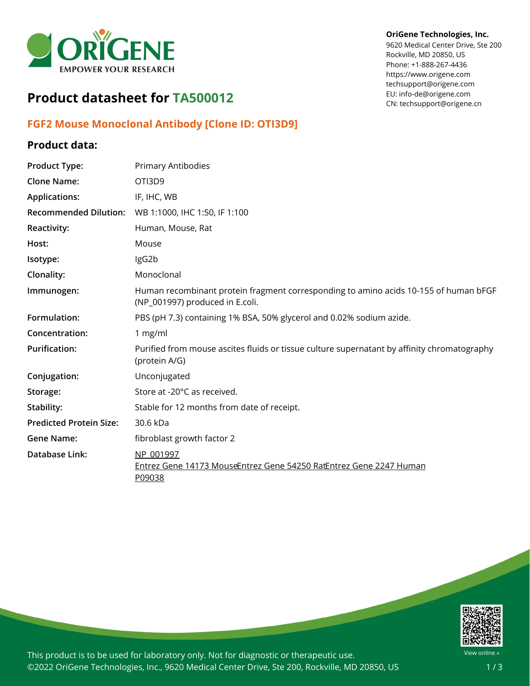

# **OriGene Technologies, Inc.**

9620 Medical Center Drive, Ste 200 Rockville, MD 20850, US Phone: +1-888-267-4436 https://www.origene.com techsupport@origene.com EU: info-de@origene.com CN: techsupport@origene.cn

# **Product datasheet for TA500012**

## **FGF2 Mouse Monoclonal Antibody [Clone ID: OTI3D9]**

### **Product data:**

| <b>Product Type:</b>           | Primary Antibodies                                                                                                      |
|--------------------------------|-------------------------------------------------------------------------------------------------------------------------|
| <b>Clone Name:</b>             | OTI3D9                                                                                                                  |
| <b>Applications:</b>           | IF, IHC, WB                                                                                                             |
| <b>Recommended Dilution:</b>   | WB 1:1000, IHC 1:50, IF 1:100                                                                                           |
| Reactivity:                    | Human, Mouse, Rat                                                                                                       |
| Host:                          | Mouse                                                                                                                   |
| Isotype:                       | IgG2b                                                                                                                   |
| Clonality:                     | Monoclonal                                                                                                              |
| Immunogen:                     | Human recombinant protein fragment corresponding to amino acids 10-155 of human bFGF<br>(NP_001997) produced in E.coli. |
| Formulation:                   | PBS (pH 7.3) containing 1% BSA, 50% glycerol and 0.02% sodium azide.                                                    |
| Concentration:                 | 1 mg/ml                                                                                                                 |
| <b>Purification:</b>           | Purified from mouse ascites fluids or tissue culture supernatant by affinity chromatography<br>(protein A/G)            |
| Conjugation:                   | Unconjugated                                                                                                            |
| Storage:                       | Store at -20°C as received.                                                                                             |
| Stability:                     | Stable for 12 months from date of receipt.                                                                              |
| <b>Predicted Protein Size:</b> | 30.6 kDa                                                                                                                |
| <b>Gene Name:</b>              | fibroblast growth factor 2                                                                                              |
| <b>Database Link:</b>          | NP 001997<br>Entrez Gene 14173 MouseEntrez Gene 54250 RatEntrez Gene 2247 Human<br>P09038                               |



This product is to be used for laboratory only. Not for diagnostic or therapeutic use. ©2022 OriGene Technologies, Inc., 9620 Medical Center Drive, Ste 200, Rockville, MD 20850, US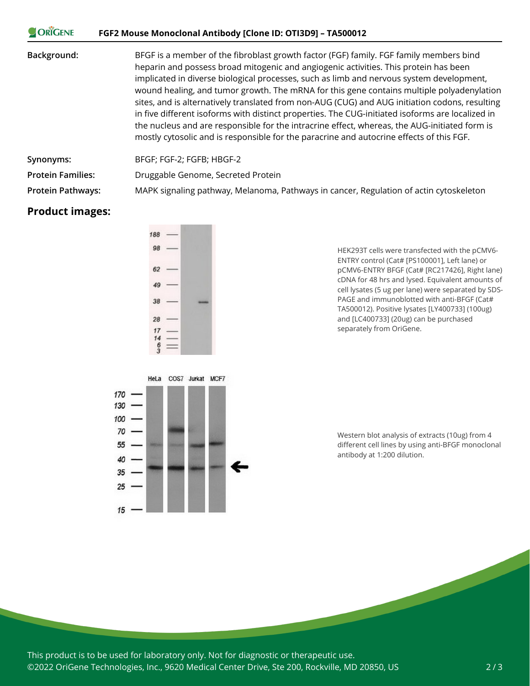| <b>ORIGENE</b>           | FGF2 Mouse Monoclonal Antibody [Clone ID: OTI3D9] - TA500012                                                                                                                                                                                                                                                                                                                                                                                                                                                                                                                                                                                                                                                                                                               |
|--------------------------|----------------------------------------------------------------------------------------------------------------------------------------------------------------------------------------------------------------------------------------------------------------------------------------------------------------------------------------------------------------------------------------------------------------------------------------------------------------------------------------------------------------------------------------------------------------------------------------------------------------------------------------------------------------------------------------------------------------------------------------------------------------------------|
| Background:              | BFGF is a member of the fibroblast growth factor (FGF) family. FGF family members bind<br>heparin and possess broad mitogenic and angiogenic activities. This protein has been<br>implicated in diverse biological processes, such as limb and nervous system development,<br>wound healing, and tumor growth. The mRNA for this gene contains multiple polyadenylation<br>sites, and is alternatively translated from non-AUG (CUG) and AUG initiation codons, resulting<br>in five different isoforms with distinct properties. The CUG-initiated isoforms are localized in<br>the nucleus and are responsible for the intracrine effect, whereas, the AUG-initiated form is<br>mostly cytosolic and is responsible for the paracrine and autocrine effects of this FGF. |
| Synonyms:                | BFGF; FGF-2; FGFB; HBGF-2                                                                                                                                                                                                                                                                                                                                                                                                                                                                                                                                                                                                                                                                                                                                                  |
| <b>Protein Families:</b> | Druggable Genome, Secreted Protein                                                                                                                                                                                                                                                                                                                                                                                                                                                                                                                                                                                                                                                                                                                                         |
| <b>Protein Pathways:</b> | MAPK signaling pathway, Melanoma, Pathways in cancer, Regulation of actin cytoskeleton                                                                                                                                                                                                                                                                                                                                                                                                                                                                                                                                                                                                                                                                                     |

### **Product images:**



HEK293T cells were transfected with the pCMV6- ENTRY control (Cat# [PS100001], Left lane) or pCMV6-ENTRY BFGF (Cat# [RC217426], Right lane) cDNA for 48 hrs and lysed. Equivalent amounts of cell lysates (5 ug per lane) were separated by SDS-PAGE and immunoblotted with anti-BFGF (Cat# TA500012). Positive lysates [LY400733] (100ug) and [LC400733] (20ug) can be purchased separately from OriGene.



Western blot analysis of extracts (10ug) from 4 different cell lines by using anti-BFGF monoclonal antibody at 1:200 dilution.

This product is to be used for laboratory only. Not for diagnostic or therapeutic use. ©2022 OriGene Technologies, Inc., 9620 Medical Center Drive, Ste 200, Rockville, MD 20850, US